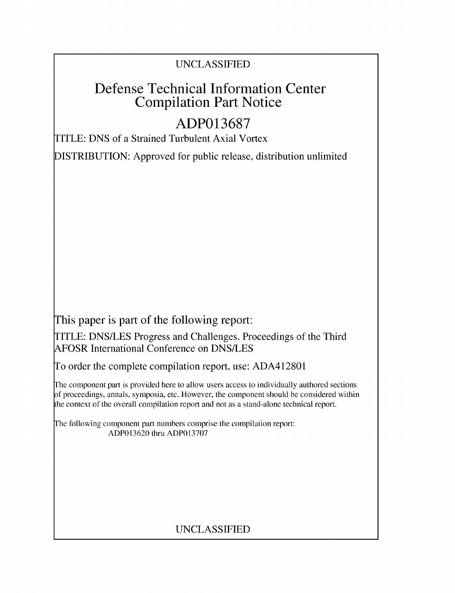### UNCLASSIFIED

## **Defense Technical Information Center Compilation Part Notice**

# **ADP013687**

TITLE: DNS of a Strained Turbulent Axial Vortex

**DISTRIBUTION:** Approved for public release, distribution unlimited

This paper is part of the following report:

TITLE: DNS/LES Progress and Challenges. Proceedings of the Third AFOSR International Conference on DNS/LES

To order the complete compilation report, use: ADA412801

The component part is provided here to allow users access to individually authored sections f proceedings, annals, symposia, etc. However, the component should be considered within the context of the overall compilation report and not as a stand-alone technical report.

The following component part numbers comprise the compilation report: ADP013620 thru ADP013707

## UNCLASSIFIED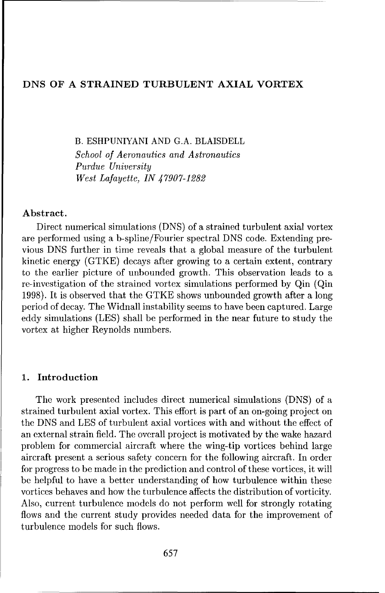#### **DNS OF A STRAINED TURBULENT AXIAL VORTEX**

B. ESHPUNIYANI AND G.A. BLAISDELL *School of Aeronautics and Astronautics Purdue University West Lafayette, IN 47907-1282*

#### **Abstract.**

Direct numerical simulations (DNS) of a strained turbulent axial vortex are performed using a b-spline/Fourier spectral DNS code. Extending previous DNS further in time reveals that a global measure of the turbulent kinetic energy (GTKE) decays after growing to a certain extent, contrary to the earlier picture of unbounded growth. This observation leads to a re-investigation of the strained vortex simulations performed by Qin (Qin 1998). It is observed that the GTKE shows unbounded growth after a long period of decay. The Widnall instability seems to have been captured. Large eddy simulations (LES) shall be performed in the near future to study the vortex at higher Reynolds numbers.

#### **1. Introduction**

The work presented includes direct numerical simulations (DNS) of a strained turbulent axial vortex. This effort is part of an on-going project on the DNS and LES of turbulent axial vortices with and without the effect of an external strain field. The overall project is motivated by the wake hazard problem for commercial aircraft where the wing-tip vortices behind large aircraft present a serious safety concern for the following aircraft. In order for progress to be made in the prediction and control of these vortices, it will be helpful to have a better understanding of how turbulence within these vortices behaves and how the turbulence affects the distribution of vorticity. Also, current turbulence models do not perform well for strongly rotating flows and the current study provides needed data for the improvement of turbulence models for such flows.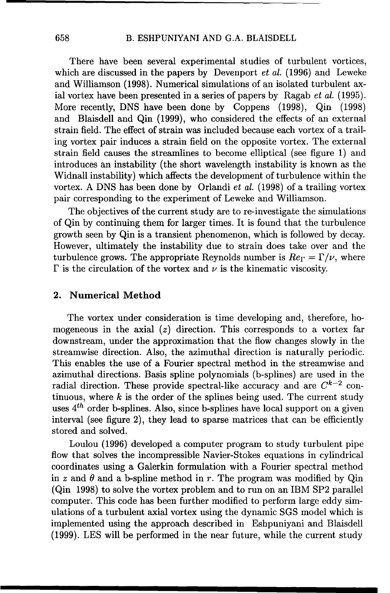There have been several experimental studies of turbulent vortices, which are discussed in the papers by Devenport *et al.* (1996) and Leweke and Williamson (1998). Numerical simulations of an isolated turbulent axial vortex have been presented in a series of papers by Ragab *et al.* (1995). More recently, DNS have been done by Coppens (1998), Qin (1998) and Blaisdell and Qin (1999), who considered the effects of an external strain field. The effect of strain was included because each vortex of a trailing vortex pair induces a strain field on the opposite vortex. The external strain field causes the streamlines to become elliptical (see figure 1) and introduces an instability (the short wavelength instability is known as the Widnall instability) which affects the development of turbulence within the vortex. A DNS has been done by Orlandi *et al.* (1998) of a trailing vortex pair corresponding to the experiment of Leweke and Williamson.

The objectives of the current study are to re-investigate the simulations of Qin by continuing them for larger times. It is found that the turbulence growth seen by Qin is a transient phenomenon, which is followed by decay. However, ultimately the instability due to strain does take over and the turbulence grows. The appropriate Reynolds number is  $Re_\Gamma = \Gamma/\nu$ , where  $\Gamma$  is the circulation of the vortex and  $\nu$  is the kinematic viscosity.

#### 2. Numerical Method

The vortex under consideration is time developing and, therefore, homogeneous in the axial *(z)* direction. This corresponds to a vortex far downstream, under the approximation that the flow changes slowly in the streamwise direction. Also, the azimuthal direction is naturally periodic. This enables the use of a Fourier spectral method in the streamwise and azimuthal directions. Basis spline polynomials (b-splines) are used in the radial direction. These provide spectral-like accuracy and are  $C^{k-2}$  continuous, where  $k$  is the order of the splines being used. The current study uses  $4^{th}$  order b-splines. Also, since b-splines have local support on a given interval (see figure 2), they lead to sparse matrices that can be efficiently stored and solved.

Loulou (1996) developed a computer program to study turbulent pipe flow that solves the incompressible Navier-Stokes equations in cylindrical coordinates using a Galerkin formulation with a Fourier spectral method in  $z$  and  $\theta$  and a b-spline method in  $r$ . The program was modified by Qin (Qin 1998) to solve the vortex problem and to run on an IBM SP2 parallel computer. This code has been further modified to perform large eddy simulations of a turbulent axial vortex using the dynamic SGS model which is implemented using the approach described in Eshpuniyani and Blaisdell (1999). LES will be performed in the near future, while the current study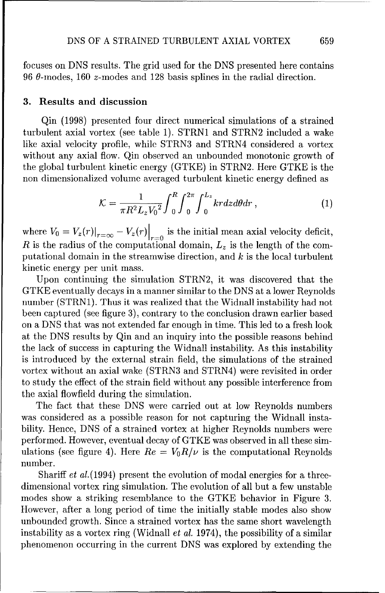focuses on DNS results. The grid used for the DNS presented here contains 96  $\theta$ -modes, 160 *z*-modes and 128 basis splines in the radial direction.

#### **3.** Results and discussion

Qin (1998) presented four direct numerical simulations of a strained turbulent axial vortex (see table 1). STRN1 and STRN2 included a wake like axial velocity profile, while STRN3 and STRN4 considered a vortex without any axial flow. Qin observed an unbounded monotonic growth of the global turbulent kinetic energy (GTKE) in STRN2. Here GTKE is the non dimensionalized volume averaged turbulent kinetic energy defined as

$$
\mathcal{K} = \frac{1}{\pi R^2 L_z V_0^2} \int_0^R \int_0^{2\pi} \int_0^{L_z} kr dz d\theta dr , \qquad (1)
$$

where  $V_0 = V_z(r)|_{r=\infty} - V_z(r)|_{r=0}$  is the initial mean axial velocity deficit, *R* is the radius of the computational domain,  $L_z$  is the length of the computational domain in the streanwise direction, and *k* is the local turbulent kinetic energy per unit mass.

Upon continuing the simulation STRN2, it was discovered that the GTKE eventually decays in a manner similar to the DNS at a lower Reynolds number (STRN1). Thus it was realized that the Widnall instability had not been captured (see figure 3), contrary to the conclusion drawn earlier based on a DNS that was not extended far enough in time. This led to a fresh look at the DNS results by Qin and an inquiry into the possible reasons behind the lack of success in capturing the Widnall instability. As this instability is introduced by the external strain field, the simulations of the strained vortex without an axial wake (STRN3 and STRN4) were revisited in order to study the effect of the strain field without any possible interference from the axial flowfield during the simulation.

The fact that these DNS were carried out at low Reynolds numbers was considered as a possible reason for not capturing the Widnall instability. Hence, DNS of a strained vortex at higher Reynolds numbers were performed. However, eventual decay of GTKE was observed in all these simulations (see figure 4). Here  $Re = V_0 R/\nu$  is the computational Reynolds number.

Shariff *et al.*(1994) present the evolution of modal energies for a threedimensional vortex ring simulation. The evolution of all but a few unstable modes show a striking resemblance to the GTKE behavior in Figure 3. However, after a long period of time the initially stable modes also show unbounded growth. Since a strained vortex has the same short wavelength instability as a vortex ring (Widnall *et al.* 1974), the possibility of a similar phenomenon occurring in the current DNS was explored by extending the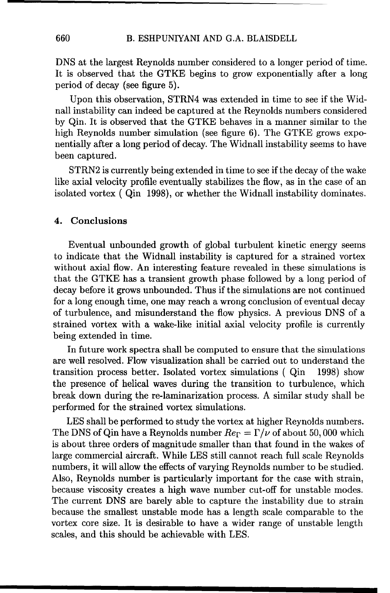DNS at the largest Reynolds number considered to a longer period of time. It is observed that the GTKE begins to grow exponentially after a long period of decay (see figure 5).

Upon this observation, STRN4 was extended in time to see if the Widnall instability can indeed be captured at the Reynolds numbers considered by Qin. It is observed that the GTKE behaves in a manner similar to the high Reynolds number simulation (see figure 6). The GTKE grows exponentially after a long period of decay. The Widnall instability seems to have been captured.

STRN2 is currently being extended in time to see if the decay of the wake like axial velocity profile eventually stabilizes the flow, as in the case of an isolated vortex ( Qin 1998), or whether the Widnall instability dominates.

#### 4. Conclusions

Eventual unbounded growth of global turbulent kinetic energy seems to indicate that the Widnall instability is captured for a strained vortex without axial flow. An interesting feature revealed in these simulations is that the GTKE has a transient growth phase followed by a long period of decay before it grows unbounded. Thus if the simulations are not continued for a long enough time, one may reach a wrong conclusion of eventual decay of turbulence, and misunderstand the flow physics. A previous DNS of a strained vortex with a wake-like initial axial velocity profile is currently being extended in time.

In future work spectra shall be computed to ensure that the simulations are well resolved. Flow visualization shall be carried out to understand the transition process better. Isolated vortex simulations ( Qin 1998) show the presence of helical waves during the transition to turbulence, which break down during the re-laminarization process. A similar study shall be performed for the strained vortex simulations.

LES shall be performed to study the vortex at higher Reynolds numbers. The DNS of Qin have a Reynolds number  $Re_\Gamma = \Gamma/\nu$  of about 50,000 which is about three orders of magnitude smaller than that found in the wakes of large commercial aircraft. While LES still cannot reach full scale Reynolds numbers, it will allow the effects of varying Reynolds number to be studied. Also, Reynolds number is particularly important for the case with strain, because viscosity creates a high wave number cut-off for unstable modes. The current DNS are barely able to capture the instability due to strain because the smallest unstable mode has a length scale comparable to the vortex core size. It is desirable to have a wider range of unstable length scales, and this should be achievable with LES.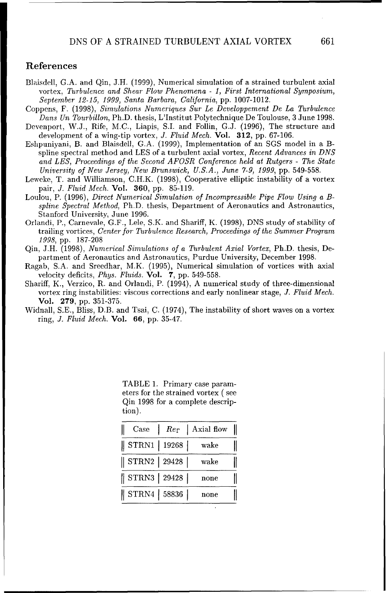#### References

- Blaisdell, G.A. and Qin, **J.H.** (1999), Numerical simulation of a strained turbulent axial vortex, *Turbulence and Shear Flow Phenomena* - *1, First International Symposium, September 12-15, 1999, Santa Barbara, California,* pp. 1007-1012.
- Coppens, F. (1998), *Simulations Numeriques Sur Le Developpement De La Turbulence Dans Un Tourbillon,* Ph.D. thesis, L'Institut Polytechnique De Toulouse, 3 June 1998.
- Devenport, W.J., Rife, M.C., Liapis, S.I. and Follin, G.J. (1996), The structure and development of a wing-tip vortex, *J. Fluid Mech.* Vol. **312,** pp. 67-106.
- Eshpuniyani, B. and Blaisdell, G.A. (1999), Implementation of an SGS model in a Bspline spectral method and LES of a turbulent axial vortex, *Recent Advances in DNS and LES, Proceedings of the Second AFOSR Conference held at Rutgers* - *The State University of New Jersey, New Brunswick, U.S.A., June 7-9, 1999,* pp. 549-558.
- Leweke, T. and Williamson, C.H.K. (1998), Cooperative elliptic instability of a vortex pair, *J. Fluid Mech.* Vol. **360,** pp. 85-119.
- Loulou, P. (1996), *Direct Numerical Simulation of Incompressible Pipe Flow Using a Bspline Spectral Method,* Ph.D. thesis, Department of Aeronautics and Astronautics, Stanford University, June 1996.
- Orlandi, P., Carnevale, G.F., Lele, S.K. and Shariff, K. (1998), DNS study of stability of trailing vortices, *Center for Turbulence Research, Proceedings of the Summer Program 1998,* pp. 187-208
- Qin, J.H. (1998), *Numerical Simulations of a Turbulent Axial Vortex,* Ph.D. thesis, Department of Aeronautics and Astronautics, Purdue University, December 1998.
- Ragab, S.A. and Sreedhar, M.K. (1995), Numerical simulation of vortices with axial velocity deficits, *Phys. Fluids.* Vol. 7, pp. 549-558.
- Shariff, K., Verzico, R. and Orlandi, P. (1994), A numerical study of three-dimensional vortex ring instabilities: viscous corrections and early nonlinear stage, *J. Fluid Mech.* Vol. 279, pp. 351-375.
- Widnall, S.E., Bliss, D.B. and Tsai, C. (1974), The instability of short waves on a vortex ring, *J. Fluid Mech.* Vol. **66,** pp. 35-47.

TABLE 1. Primary case parameters for the strained vortex ( see Qin 1998 for a complete description).

| Case | $Re_\Gamma$                           | Axial flow |  |
|------|---------------------------------------|------------|--|
|      | $\parallel$ STRN1 $\mid$ 19268 $\mid$ | wake       |  |
|      | $\parallel$ STRN2 $\mid$ 29428 $\mid$ | wake       |  |
|      | STRN3   29428                         | none       |  |
|      | $\parallel$ STRN4 $\mid$ 58836 $\mid$ | none       |  |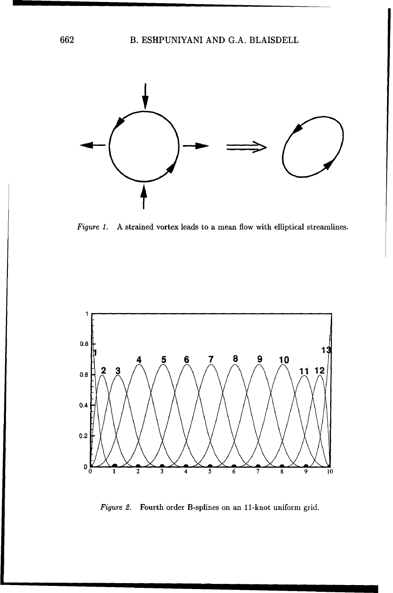

*Figure 1.* A strained vortex leads to a mean flow with elliptical streamlines.



*Figure 2.* Fourth order B-splines on an 11-knot uniform grid.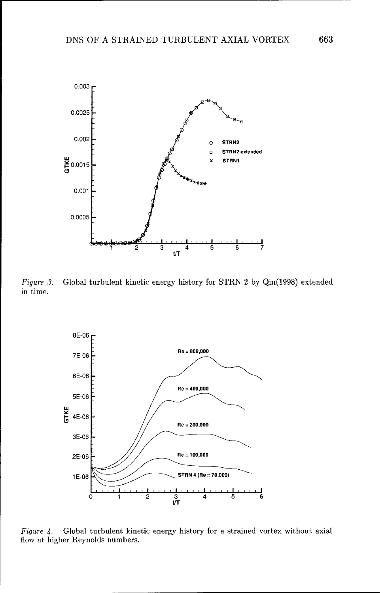

*Figure 3.* Global turbulent kinetic energy history for STRN 2 by Qin(1998) extended in time.



Figure 4. Global turbulent kinetic energy history for a strained vortex without axial flow at higher Reynolds numbers.